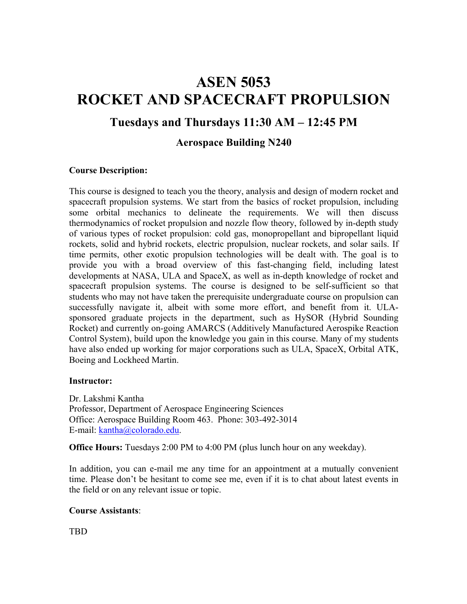# **ASEN 5053 ROCKET AND SPACECRAFT PROPULSION**

## **Tuesdays and Thursdays 11:30 AM – 12:45 PM**

### **Aerospace Building N240**

#### **Course Description:**

This course is designed to teach you the theory, analysis and design of modern rocket and spacecraft propulsion systems. We start from the basics of rocket propulsion, including some orbital mechanics to delineate the requirements. We will then discuss thermodynamics of rocket propulsion and nozzle flow theory, followed by in-depth study of various types of rocket propulsion: cold gas, monopropellant and bipropellant liquid rockets, solid and hybrid rockets, electric propulsion, nuclear rockets, and solar sails. If time permits, other exotic propulsion technologies will be dealt with. The goal is to provide you with a broad overview of this fast-changing field, including latest developments at NASA, ULA and SpaceX, as well as in-depth knowledge of rocket and spacecraft propulsion systems. The course is designed to be self-sufficient so that students who may not have taken the prerequisite undergraduate course on propulsion can successfully navigate it, albeit with some more effort, and benefit from it. ULAsponsored graduate projects in the department, such as HySOR (Hybrid Sounding Rocket) and currently on-going AMARCS (Additively Manufactured Aerospike Reaction Control System), build upon the knowledge you gain in this course. Many of my students have also ended up working for major corporations such as ULA, SpaceX, Orbital ATK, Boeing and Lockheed Martin.

#### **Instructor:**

Dr. Lakshmi Kantha Professor, Department of Aerospace Engineering Sciences Office: Aerospace Building Room 463. Phone: 303-492-3014 E-mail: kantha@colorado.edu.

**Office Hours:** Tuesdays 2:00 PM to 4:00 PM (plus lunch hour on any weekday).

In addition, you can e-mail me any time for an appointment at a mutually convenient time. Please don't be hesitant to come see me, even if it is to chat about latest events in the field or on any relevant issue or topic.

#### **Course Assistants**:

TBD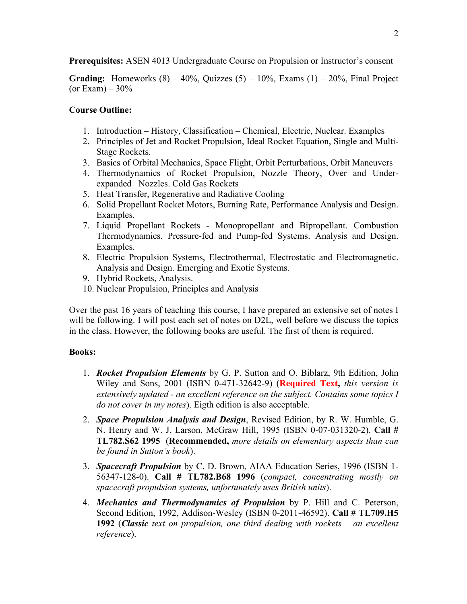**Prerequisites:** ASEN 4013 Undergraduate Course on Propulsion or Instructor's consent

**Grading:** Homeworks  $(8) - 40\%$ , Quizzes  $(5) - 10\%$ , Exams  $(1) - 20\%$ , Final Project (or Exam)  $-30\%$ 

#### **Course Outline:**

- 1. Introduction History, Classification Chemical, Electric, Nuclear. Examples
- 2. Principles of Jet and Rocket Propulsion, Ideal Rocket Equation, Single and Multi-Stage Rockets.
- 3. Basics of Orbital Mechanics, Space Flight, Orbit Perturbations, Orbit Maneuvers
- 4. Thermodynamics of Rocket Propulsion, Nozzle Theory, Over and Underexpanded Nozzles. Cold Gas Rockets
- 5. Heat Transfer, Regenerative and Radiative Cooling
- 6. Solid Propellant Rocket Motors, Burning Rate, Performance Analysis and Design. Examples.
- 7. Liquid Propellant Rockets Monopropellant and Bipropellant. Combustion Thermodynamics. Pressure-fed and Pump-fed Systems. Analysis and Design. Examples.
- 8. Electric Propulsion Systems, Electrothermal, Electrostatic and Electromagnetic. Analysis and Design. Emerging and Exotic Systems.
- 9. Hybrid Rockets, Analysis.
- 10. Nuclear Propulsion, Principles and Analysis

Over the past 16 years of teaching this course, I have prepared an extensive set of notes I will be following. I will post each set of notes on D2L, well before we discuss the topics in the class. However, the following books are useful. The first of them is required.

#### **Books:**

- 1. *Rocket Propulsion Elements* by G. P. Sutton and O. Biblarz, 9th Edition, John Wiley and Sons, 2001 (ISBN 0-471-32642-9) (**Required Text,** *this version is extensively updated - an excellent reference on the subject. Contains some topics I do not cover in my notes*). Eigth edition is also acceptable.
- 2. *Space Propulsion Analysis and Design*, Revised Edition, by R. W. Humble, G. N. Henry and W. J. Larson, McGraw Hill, 1995 (ISBN 0-07-031320-2). **Call # TL782.S62 1995** (**Recommended,** *more details on elementary aspects than can be found in Sutton's book*).
- 3. *Spacecraft Propulsion* by C. D. Brown, AIAA Education Series, 1996 (ISBN 1- 56347-128-0). **Call # TL782.B68 1996** (*compact, concentrating mostly on spacecraft propulsion systems, unfortunately uses British units*).
- 4. *Mechanics and Thermodynamics of Propulsion* by P. Hill and C. Peterson, Second Edition, 1992, Addison-Wesley (ISBN 0-2011-46592). **Call # TL709.H5 1992** (*Classic text on propulsion, one third dealing with rockets – an excellent reference*).